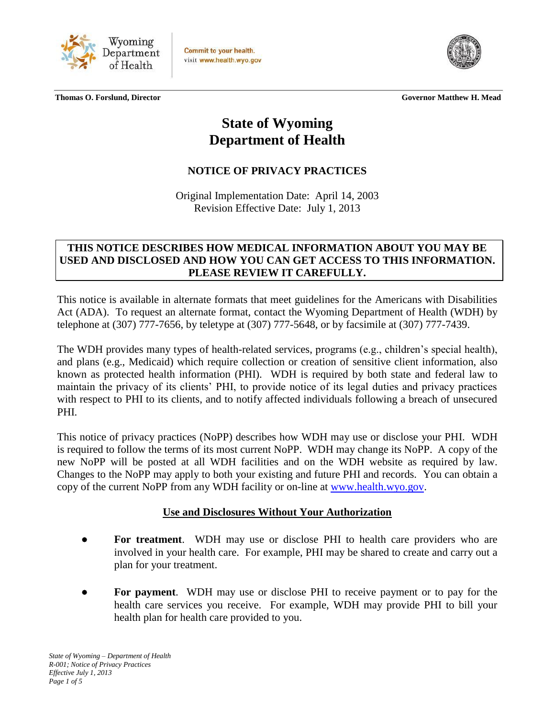

Commit to your health. visit www.health.wyo.gov



 **Thomas O. Forslund, Director Governor Matthew H. Mead**

# **State of Wyoming Department of Health**

# **NOTICE OF PRIVACY PRACTICES**

Original Implementation Date: April 14, 2003 Revision Effective Date: July 1, 2013

#### **THIS NOTICE DESCRIBES HOW MEDICAL INFORMATION ABOUT YOU MAY BE USED AND DISCLOSED AND HOW YOU CAN GET ACCESS TO THIS INFORMATION. PLEASE REVIEW IT CAREFULLY.**

This notice is available in alternate formats that meet guidelines for the Americans with Disabilities Act (ADA). To request an alternate format, contact the Wyoming Department of Health (WDH) by telephone at (307) 777-7656, by teletype at (307) 777-5648, or by facsimile at (307) 777-7439.

The WDH provides many types of health-related services, programs (e.g., children's special health), and plans (e.g., Medicaid) which require collection or creation of sensitive client information, also known as protected health information (PHI). WDH is required by both state and federal law to maintain the privacy of its clients' PHI, to provide notice of its legal duties and privacy practices with respect to PHI to its clients, and to notify affected individuals following a breach of unsecured PHI.

This notice of privacy practices (NoPP) describes how WDH may use or disclose your PHI. WDH is required to follow the terms of its most current NoPP. WDH may change its NoPP. A copy of the new NoPP will be posted at all WDH facilities and on the WDH website as required by law. Changes to the NoPP may apply to both your existing and future PHI and records. You can obtain a copy of the current NoPP from any WDH facility or on-line at [www.health.wyo.gov.](http://www.health.wyo.gov/)

#### **Use and Disclosures Without Your Authorization**

- **For treatment**. WDH may use or disclose PHI to health care providers who are involved in your health care. For example, PHI may be shared to create and carry out a plan for your treatment.
- **For payment**. WDH may use or disclose PHI to receive payment or to pay for the health care services you receive. For example, WDH may provide PHI to bill your health plan for health care provided to you.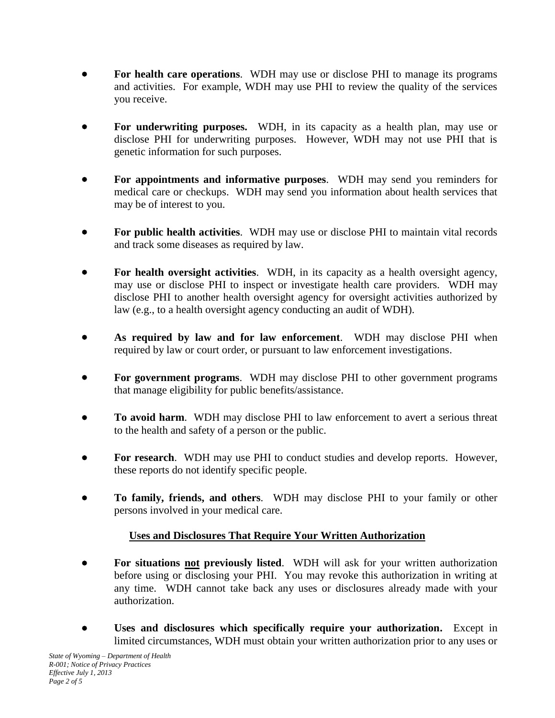- **For health care operations**. WDH may use or disclose PHI to manage its programs and activities. For example, WDH may use PHI to review the quality of the services you receive.
- **For underwriting purposes.** WDH, in its capacity as a health plan, may use or disclose PHI for underwriting purposes. However, WDH may not use PHI that is genetic information for such purposes.
- **For appointments and informative purposes**. WDH may send you reminders for medical care or checkups. WDH may send you information about health services that may be of interest to you.
- **For public health activities**. WDH may use or disclose PHI to maintain vital records and track some diseases as required by law.
- **For health oversight activities**. WDH, in its capacity as a health oversight agency, may use or disclose PHI to inspect or investigate health care providers. WDH may disclose PHI to another health oversight agency for oversight activities authorized by law (e.g., to a health oversight agency conducting an audit of WDH).
- **As required by law and for law enforcement**. WDH may disclose PHI when required by law or court order, or pursuant to law enforcement investigations.
- **For government programs**. WDH may disclose PHI to other government programs that manage eligibility for public benefits/assistance.
- **To avoid harm**. WDH may disclose PHI to law enforcement to avert a serious threat to the health and safety of a person or the public.
- **For research**. WDH may use PHI to conduct studies and develop reports. However, these reports do not identify specific people.
- **To family, friends, and others**. WDH may disclose PHI to your family or other persons involved in your medical care.

## **Uses and Disclosures That Require Your Written Authorization**

- **For situations not previously listed**. WDH will ask for your written authorization before using or disclosing your PHI. You may revoke this authorization in writing at any time. WDH cannot take back any uses or disclosures already made with your authorization.
- **Uses and disclosures which specifically require your authorization.** Except in limited circumstances, WDH must obtain your written authorization prior to any uses or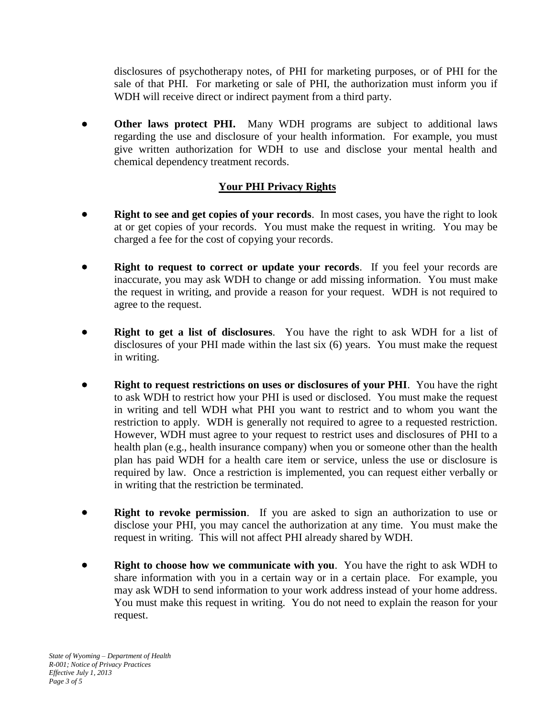disclosures of psychotherapy notes, of PHI for marketing purposes, or of PHI for the sale of that PHI. For marketing or sale of PHI, the authorization must inform you if WDH will receive direct or indirect payment from a third party.

 **Other laws protect PHI.** Many WDH programs are subject to additional laws regarding the use and disclosure of your health information. For example, you must give written authorization for WDH to use and disclose your mental health and chemical dependency treatment records.

## **Your PHI Privacy Rights**

- **Right to see and get copies of your records**. In most cases, you have the right to look at or get copies of your records. You must make the request in writing. You may be charged a fee for the cost of copying your records.
- **Right to request to correct or update your records**. If you feel your records are inaccurate, you may ask WDH to change or add missing information. You must make the request in writing, and provide a reason for your request. WDH is not required to agree to the request.
- **Right to get a list of disclosures**. You have the right to ask WDH for a list of disclosures of your PHI made within the last six (6) years. You must make the request in writing.
- **Right to request restrictions on uses or disclosures of your PHI**. You have the right to ask WDH to restrict how your PHI is used or disclosed. You must make the request in writing and tell WDH what PHI you want to restrict and to whom you want the restriction to apply. WDH is generally not required to agree to a requested restriction. However, WDH must agree to your request to restrict uses and disclosures of PHI to a health plan (e.g., health insurance company) when you or someone other than the health plan has paid WDH for a health care item or service, unless the use or disclosure is required by law. Once a restriction is implemented, you can request either verbally or in writing that the restriction be terminated.
- **Right to revoke permission**. If you are asked to sign an authorization to use or disclose your PHI, you may cancel the authorization at any time. You must make the request in writing. This will not affect PHI already shared by WDH.
- **Right to choose how we communicate with you**. You have the right to ask WDH to share information with you in a certain way or in a certain place. For example, you may ask WDH to send information to your work address instead of your home address. You must make this request in writing. You do not need to explain the reason for your request.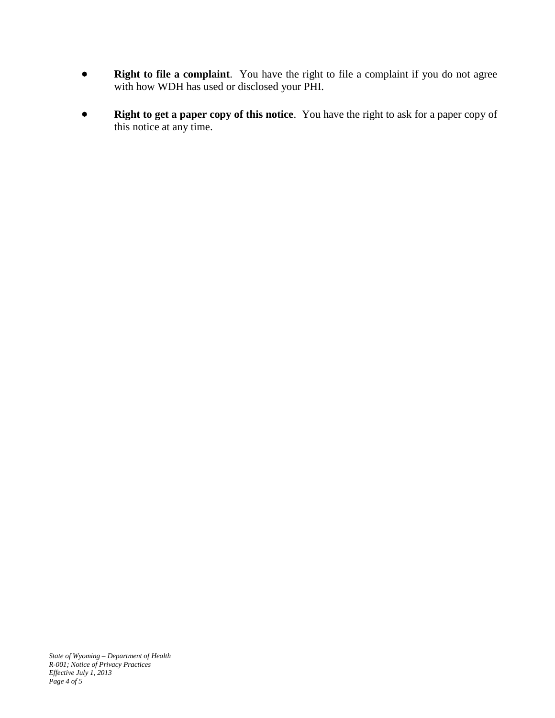- **Right to file a complaint**. You have the right to file a complaint if you do not agree with how WDH has used or disclosed your PHI.
- **Right to get a paper copy of this notice**. You have the right to ask for a paper copy of this notice at any time.